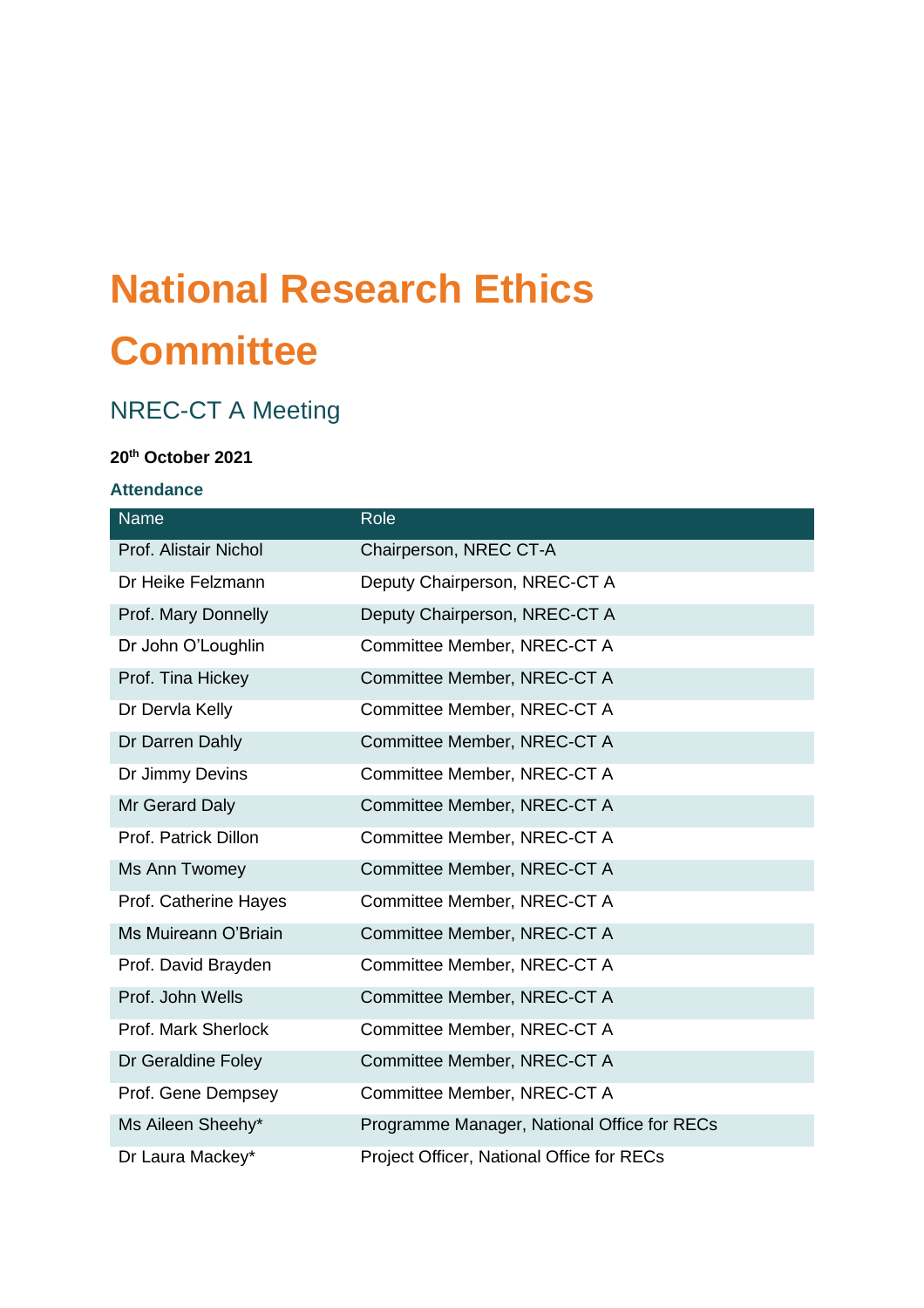# **National Research Ethics Committee**

# NREC-CT A Meeting

#### **20 th October 2021**

# **Attendance**

| Name                  | Role                                        |
|-----------------------|---------------------------------------------|
| Prof. Alistair Nichol | Chairperson, NREC CT-A                      |
| Dr Heike Felzmann     | Deputy Chairperson, NREC-CT A               |
| Prof. Mary Donnelly   | Deputy Chairperson, NREC-CT A               |
| Dr John O'Loughlin    | Committee Member, NREC-CT A                 |
| Prof. Tina Hickey     | Committee Member, NREC-CT A                 |
| Dr Dervla Kelly       | Committee Member, NREC-CT A                 |
| Dr Darren Dahly       | Committee Member, NREC-CT A                 |
| Dr Jimmy Devins       | Committee Member, NREC-CT A                 |
| Mr Gerard Daly        | Committee Member, NREC-CT A                 |
| Prof. Patrick Dillon  | Committee Member, NREC-CT A                 |
| Ms Ann Twomey         | Committee Member, NREC-CT A                 |
| Prof. Catherine Hayes | Committee Member, NREC-CT A                 |
| Ms Muireann O'Briain  | Committee Member, NREC-CT A                 |
| Prof. David Brayden   | Committee Member, NREC-CT A                 |
| Prof. John Wells      | Committee Member, NREC-CT A                 |
| Prof. Mark Sherlock   | Committee Member, NREC-CT A                 |
| Dr Geraldine Foley    | Committee Member, NREC-CT A                 |
| Prof. Gene Dempsey    | Committee Member, NREC-CT A                 |
| Ms Aileen Sheehy*     | Programme Manager, National Office for RECs |
| Dr Laura Mackey*      | Project Officer, National Office for RECs   |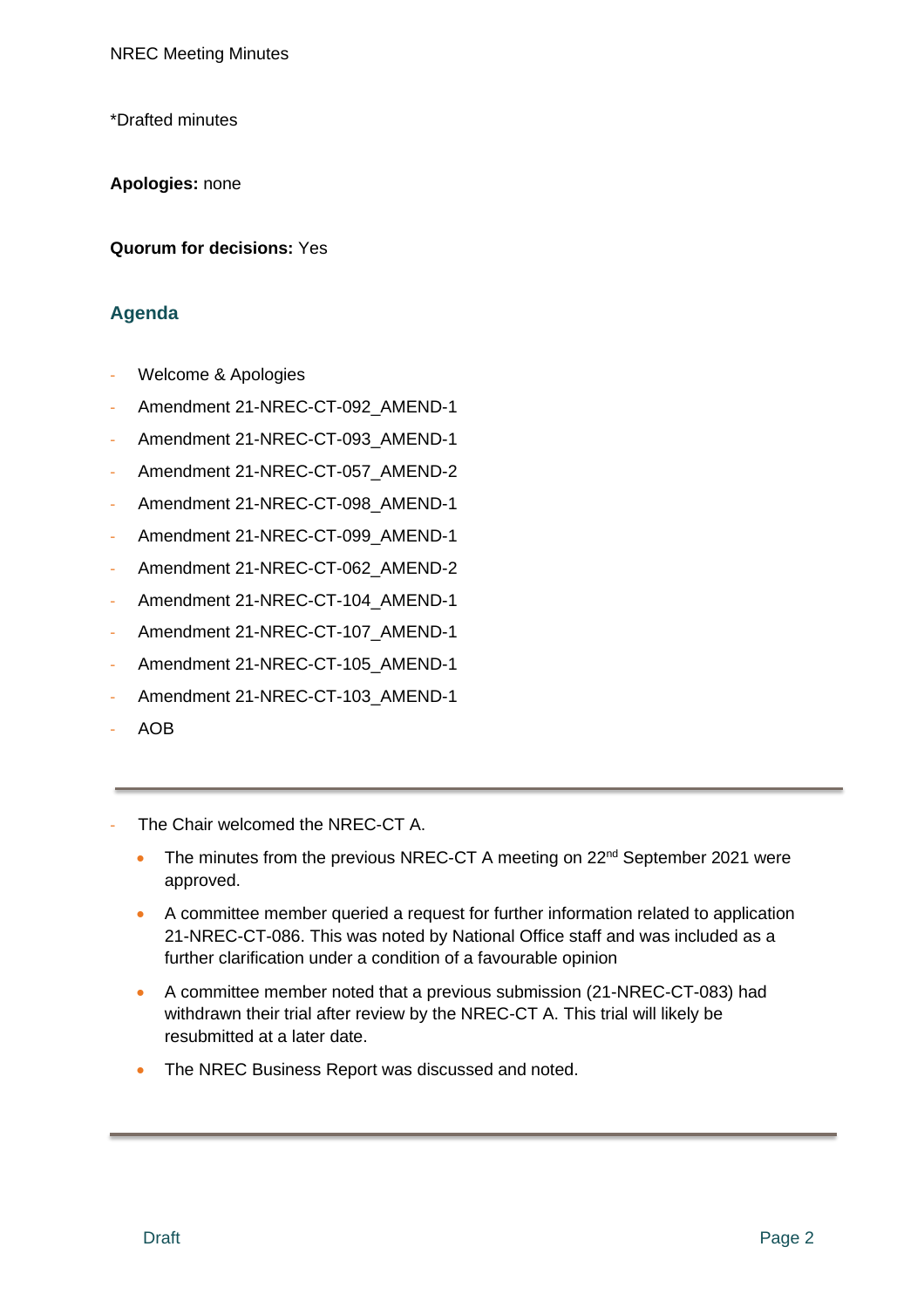\*Drafted minutes

**Apologies:** none

**Quorum for decisions:** Yes

# **Agenda**

- Welcome & Apologies
- Amendment 21-NREC-CT-092\_AMEND-1
- Amendment 21-NREC-CT-093\_AMEND-1
- Amendment 21-NREC-CT-057\_AMEND-2
- Amendment 21-NREC-CT-098 AMEND-1
- Amendment 21-NREC-CT-099\_AMEND-1
- Amendment 21-NREC-CT-062\_AMEND-2
- Amendment 21-NREC-CT-104\_AMEND-1
- Amendment 21-NREC-CT-107\_AMEND-1
- Amendment 21-NREC-CT-105\_AMEND-1
- Amendment 21-NREC-CT-103\_AMEND-1
- AOB
- The Chair welcomed the NREC-CT A.
	- The minutes from the previous NREC-CT A meeting on 22<sup>nd</sup> September 2021 were approved.
	- A committee member queried a request for further information related to application 21-NREC-CT-086. This was noted by National Office staff and was included as a further clarification under a condition of a favourable opinion
	- A committee member noted that a previous submission (21-NREC-CT-083) had withdrawn their trial after review by the NREC-CT A. This trial will likely be resubmitted at a later date.
	- The NREC Business Report was discussed and noted.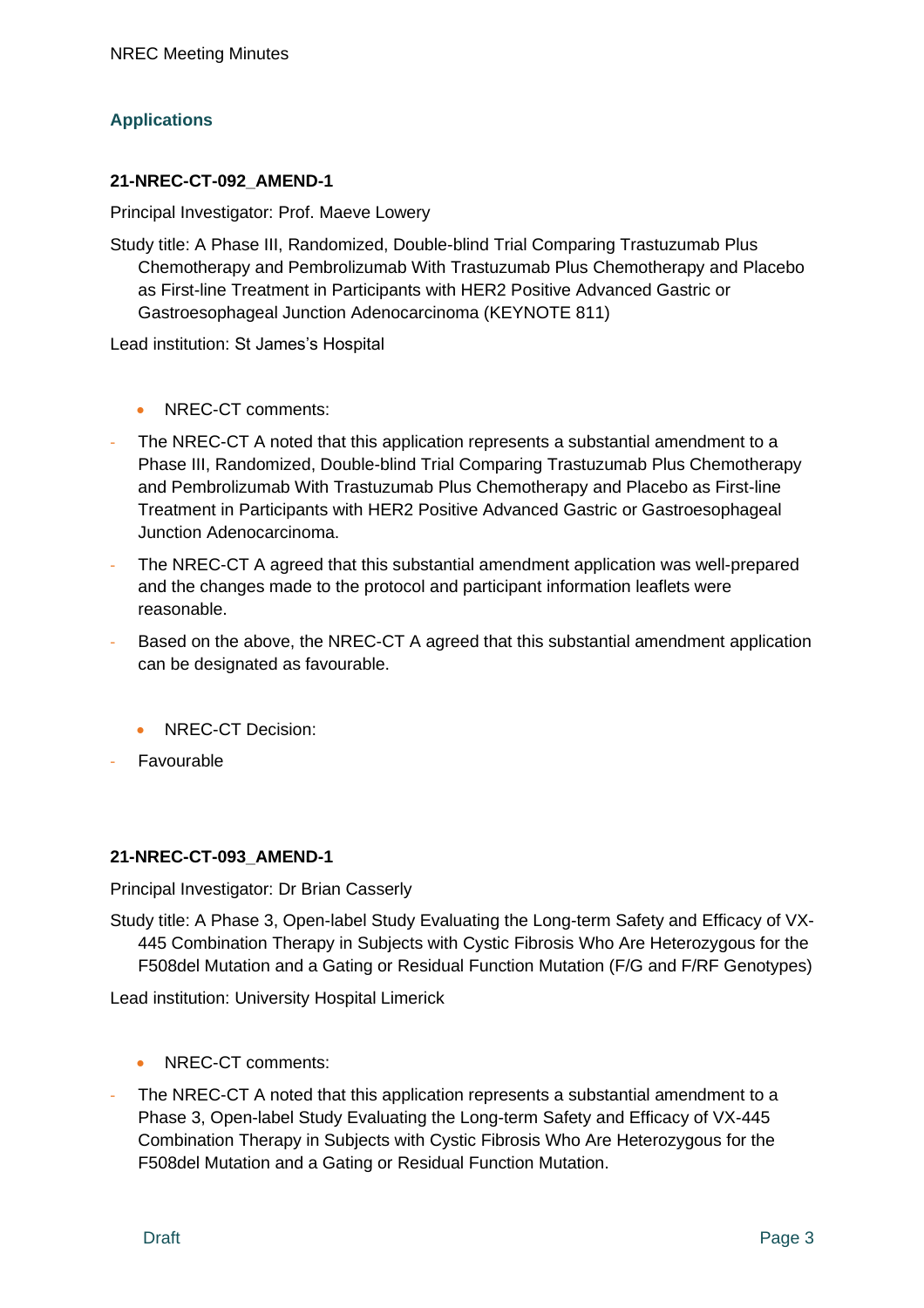# **Applications**

#### **21-NREC-CT-092\_AMEND-1**

Principal Investigator: Prof. Maeve Lowery

Study title: A Phase III, Randomized, Double-blind Trial Comparing Trastuzumab Plus Chemotherapy and Pembrolizumab With Trastuzumab Plus Chemotherapy and Placebo as First-line Treatment in Participants with HER2 Positive Advanced Gastric or Gastroesophageal Junction Adenocarcinoma (KEYNOTE 811)

Lead institution: St James's Hospital

- NREC-CT comments:
- The NREC-CT A noted that this application represents a substantial amendment to a Phase III, Randomized, Double-blind Trial Comparing Trastuzumab Plus Chemotherapy and Pembrolizumab With Trastuzumab Plus Chemotherapy and Placebo as First-line Treatment in Participants with HER2 Positive Advanced Gastric or Gastroesophageal Junction Adenocarcinoma.
- The NREC-CT A agreed that this substantial amendment application was well-prepared and the changes made to the protocol and participant information leaflets were reasonable.
- Based on the above, the NREC-CT A agreed that this substantial amendment application can be designated as favourable.
	- NREC-CT Decision:
- **Favourable**

# **21-NREC-CT-093\_AMEND-1**

Principal Investigator: Dr Brian Casserly

Study title: A Phase 3, Open-label Study Evaluating the Long-term Safety and Efficacy of VX-445 Combination Therapy in Subjects with Cystic Fibrosis Who Are Heterozygous for the F508del Mutation and a Gating or Residual Function Mutation (F/G and F/RF Genotypes)

Lead institution: University Hospital Limerick

- NREC-CT comments:
- The NREC-CT A noted that this application represents a substantial amendment to a Phase 3, Open-label Study Evaluating the Long-term Safety and Efficacy of VX-445 Combination Therapy in Subjects with Cystic Fibrosis Who Are Heterozygous for the F508del Mutation and a Gating or Residual Function Mutation.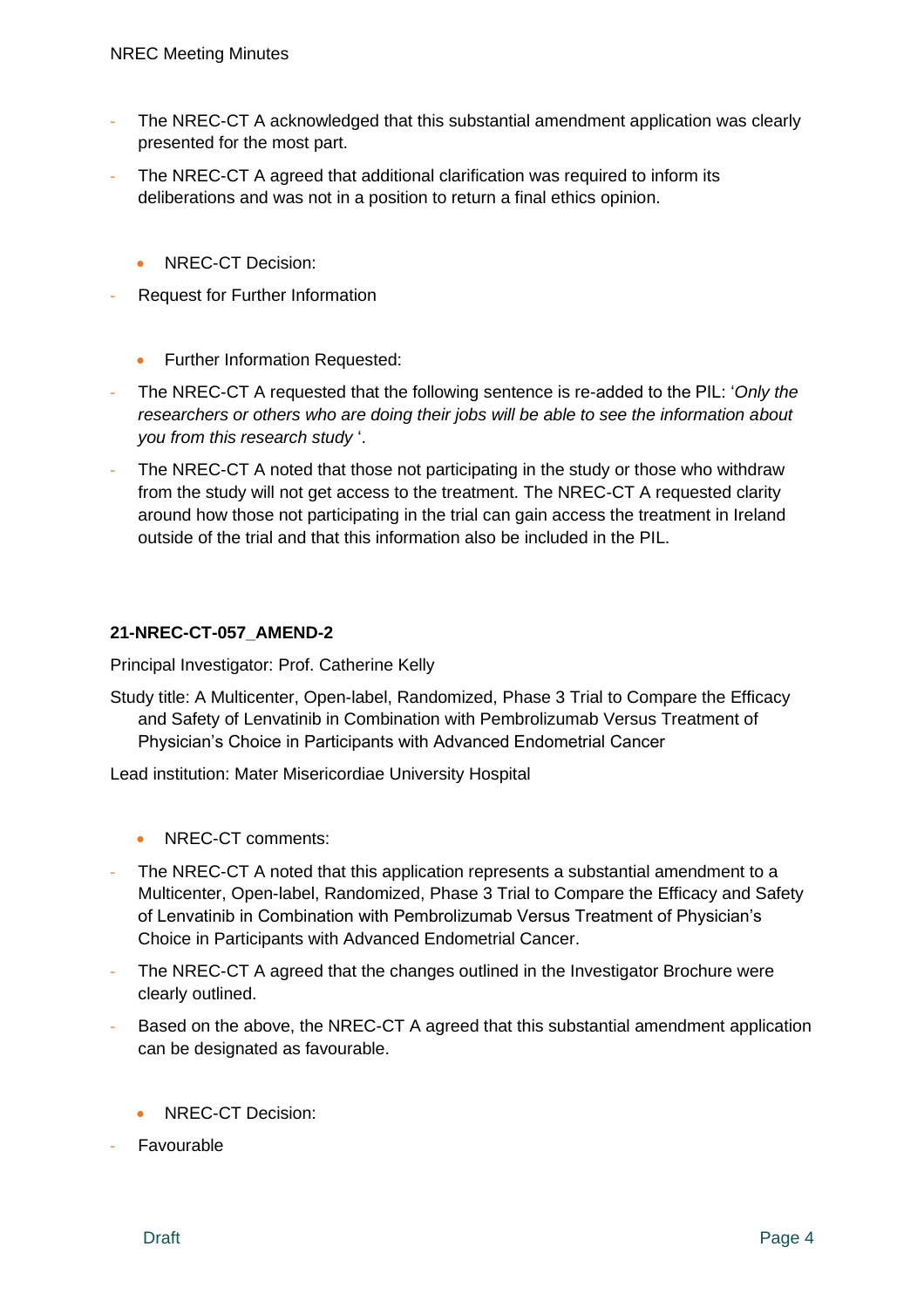- The NREC-CT A acknowledged that this substantial amendment application was clearly presented for the most part.
- The NREC-CT A agreed that additional clarification was required to inform its deliberations and was not in a position to return a final ethics opinion.
	- NREC-CT Decision:
- Request for Further Information
	- Further Information Requested:
- The NREC-CT A requested that the following sentence is re-added to the PIL: '*Only the researchers or others who are doing their jobs will be able to see the information about you from this research study* '.
- The NREC-CT A noted that those not participating in the study or those who withdraw from the study will not get access to the treatment. The NREC-CT A requested clarity around how those not participating in the trial can gain access the treatment in Ireland outside of the trial and that this information also be included in the PIL.

#### **21-NREC-CT-057\_AMEND-2**

Principal Investigator: Prof. Catherine Kelly

Study title: A Multicenter, Open-label, Randomized, Phase 3 Trial to Compare the Efficacy and Safety of Lenvatinib in Combination with Pembrolizumab Versus Treatment of Physician's Choice in Participants with Advanced Endometrial Cancer

Lead institution: Mater Misericordiae University Hospital

- NREC-CT comments:
- The NREC-CT A noted that this application represents a substantial amendment to a Multicenter, Open-label, Randomized, Phase 3 Trial to Compare the Efficacy and Safety of Lenvatinib in Combination with Pembrolizumab Versus Treatment of Physician's Choice in Participants with Advanced Endometrial Cancer.
- The NREC-CT A agreed that the changes outlined in the Investigator Brochure were clearly outlined.
- Based on the above, the NREC-CT A agreed that this substantial amendment application can be designated as favourable.
	- NREC-CT Decision:
- **Favourable**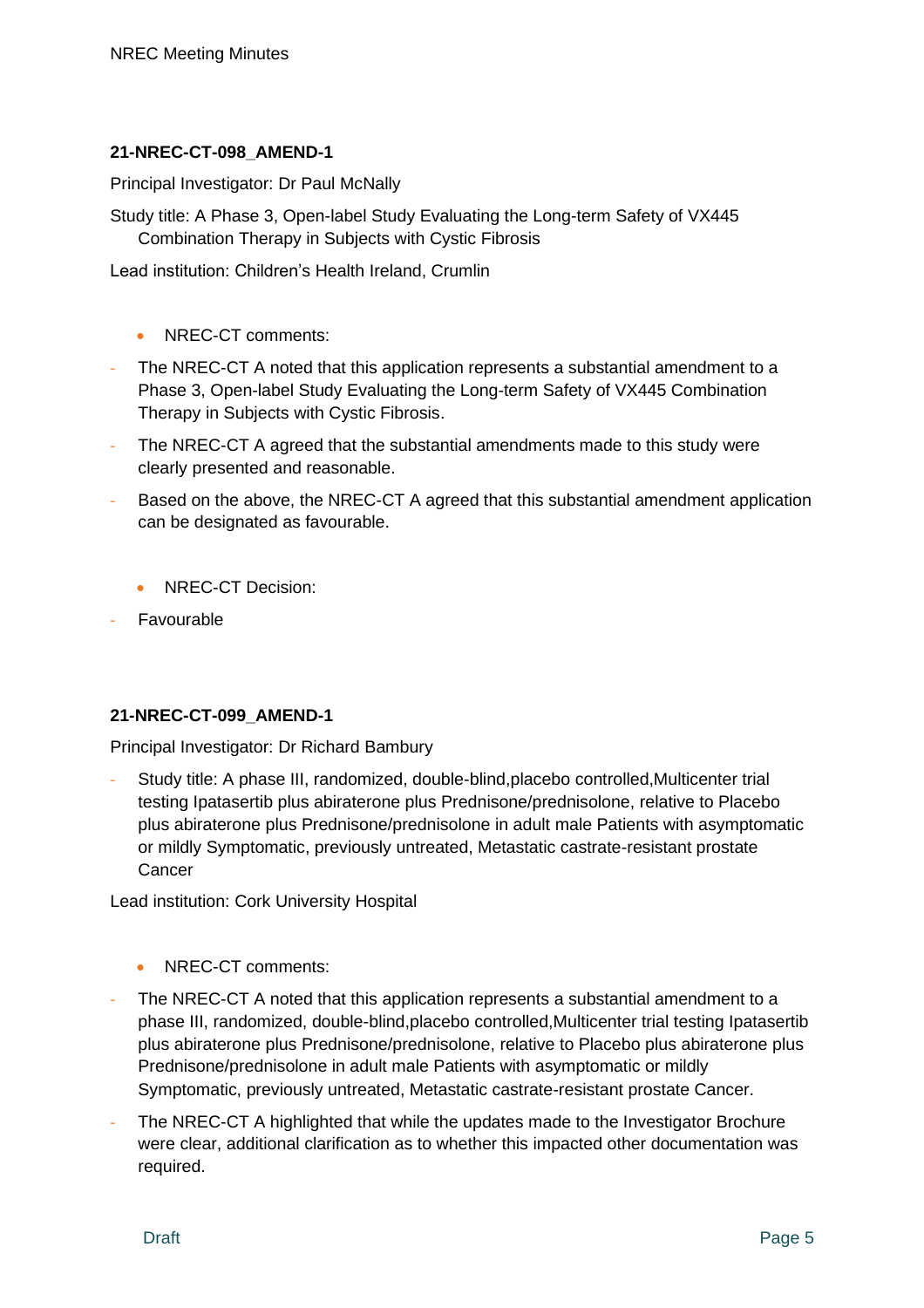#### **21-NREC-CT-098\_AMEND-1**

Principal Investigator: Dr Paul McNally

Study title: A Phase 3, Open-label Study Evaluating the Long-term Safety of VX445 Combination Therapy in Subjects with Cystic Fibrosis

Lead institution: Children's Health Ireland, Crumlin

- NREC-CT comments:
- The NREC-CT A noted that this application represents a substantial amendment to a Phase 3, Open-label Study Evaluating the Long-term Safety of VX445 Combination Therapy in Subjects with Cystic Fibrosis.
- The NREC-CT A agreed that the substantial amendments made to this study were clearly presented and reasonable.
- Based on the above, the NREC-CT A agreed that this substantial amendment application can be designated as favourable.
	- NREC-CT Decision:
- **Favourable**

# **21-NREC-CT-099\_AMEND-1**

Principal Investigator: Dr Richard Bambury

- Study title: A phase III, randomized, double-blind,placebo controlled,Multicenter trial testing Ipatasertib plus abiraterone plus Prednisone/prednisolone, relative to Placebo plus abiraterone plus Prednisone/prednisolone in adult male Patients with asymptomatic or mildly Symptomatic, previously untreated, Metastatic castrate-resistant prostate **Cancer** 

Lead institution: Cork University Hospital

- NREC-CT comments:
- The NREC-CT A noted that this application represents a substantial amendment to a phase III, randomized, double-blind,placebo controlled,Multicenter trial testing Ipatasertib plus abiraterone plus Prednisone/prednisolone, relative to Placebo plus abiraterone plus Prednisone/prednisolone in adult male Patients with asymptomatic or mildly Symptomatic, previously untreated, Metastatic castrate-resistant prostate Cancer.
- The NREC-CT A highlighted that while the updates made to the Investigator Brochure were clear, additional clarification as to whether this impacted other documentation was required.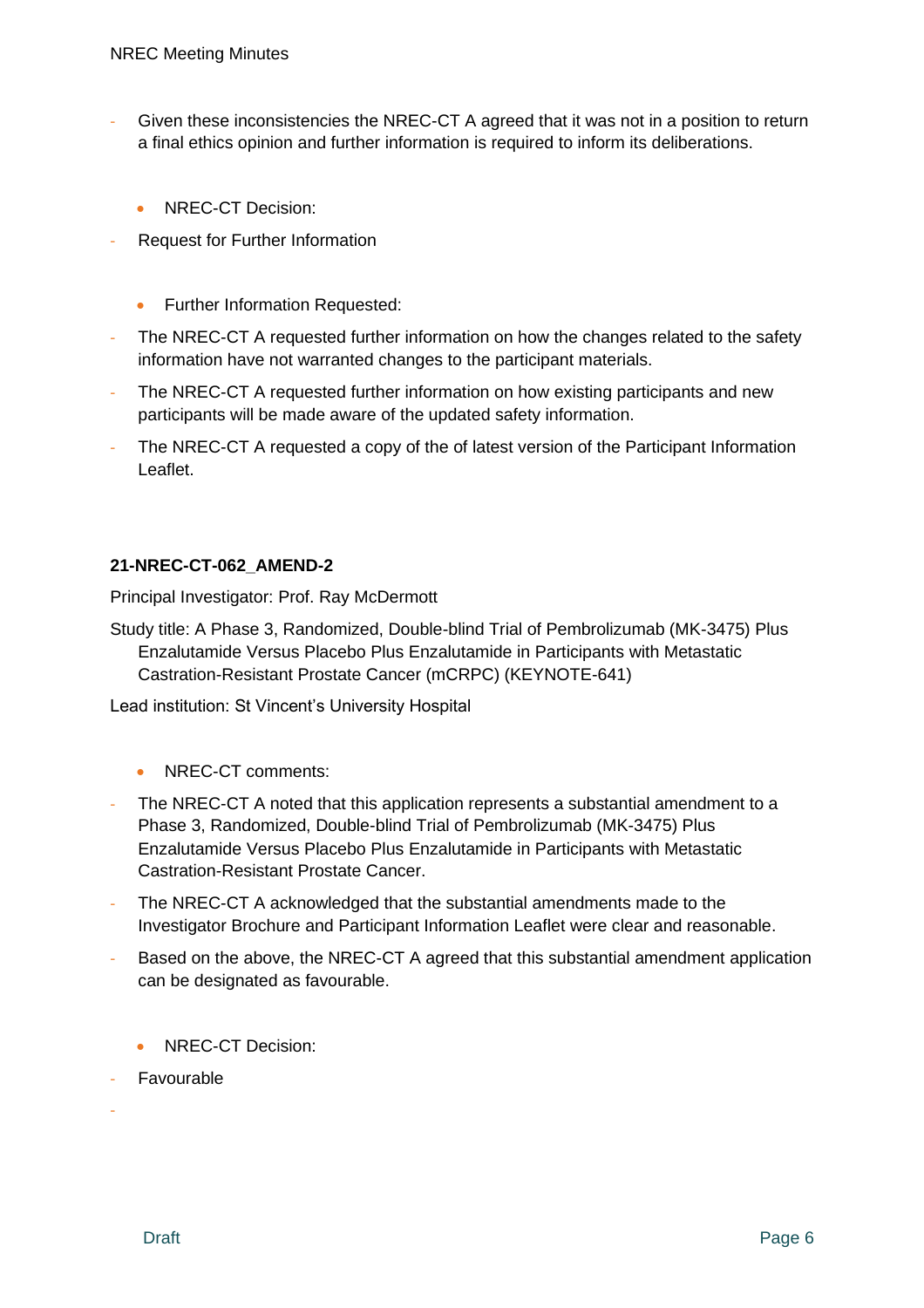- Given these inconsistencies the NREC-CT A agreed that it was not in a position to return a final ethics opinion and further information is required to inform its deliberations.
	- NREC-CT Decision:
- Request for Further Information
	- Further Information Requested:
- The NREC-CT A requested further information on how the changes related to the safety information have not warranted changes to the participant materials.
- The NREC-CT A requested further information on how existing participants and new participants will be made aware of the updated safety information.
- The NREC-CT A requested a copy of the of latest version of the Participant Information Leaflet.

#### **21-NREC-CT-062\_AMEND-2**

Principal Investigator: Prof. Ray McDermott

Study title: A Phase 3, Randomized, Double-blind Trial of Pembrolizumab (MK-3475) Plus Enzalutamide Versus Placebo Plus Enzalutamide in Participants with Metastatic Castration-Resistant Prostate Cancer (mCRPC) (KEYNOTE-641)

Lead institution: St Vincent's University Hospital

- NREC-CT comments:
- The NREC-CT A noted that this application represents a substantial amendment to a Phase 3, Randomized, Double-blind Trial of Pembrolizumab (MK-3475) Plus Enzalutamide Versus Placebo Plus Enzalutamide in Participants with Metastatic Castration-Resistant Prostate Cancer.
- The NREC-CT A acknowledged that the substantial amendments made to the Investigator Brochure and Participant Information Leaflet were clear and reasonable.
- Based on the above, the NREC-CT A agreed that this substantial amendment application can be designated as favourable.
	- NREC-CT Decision:
- **Favourable**

-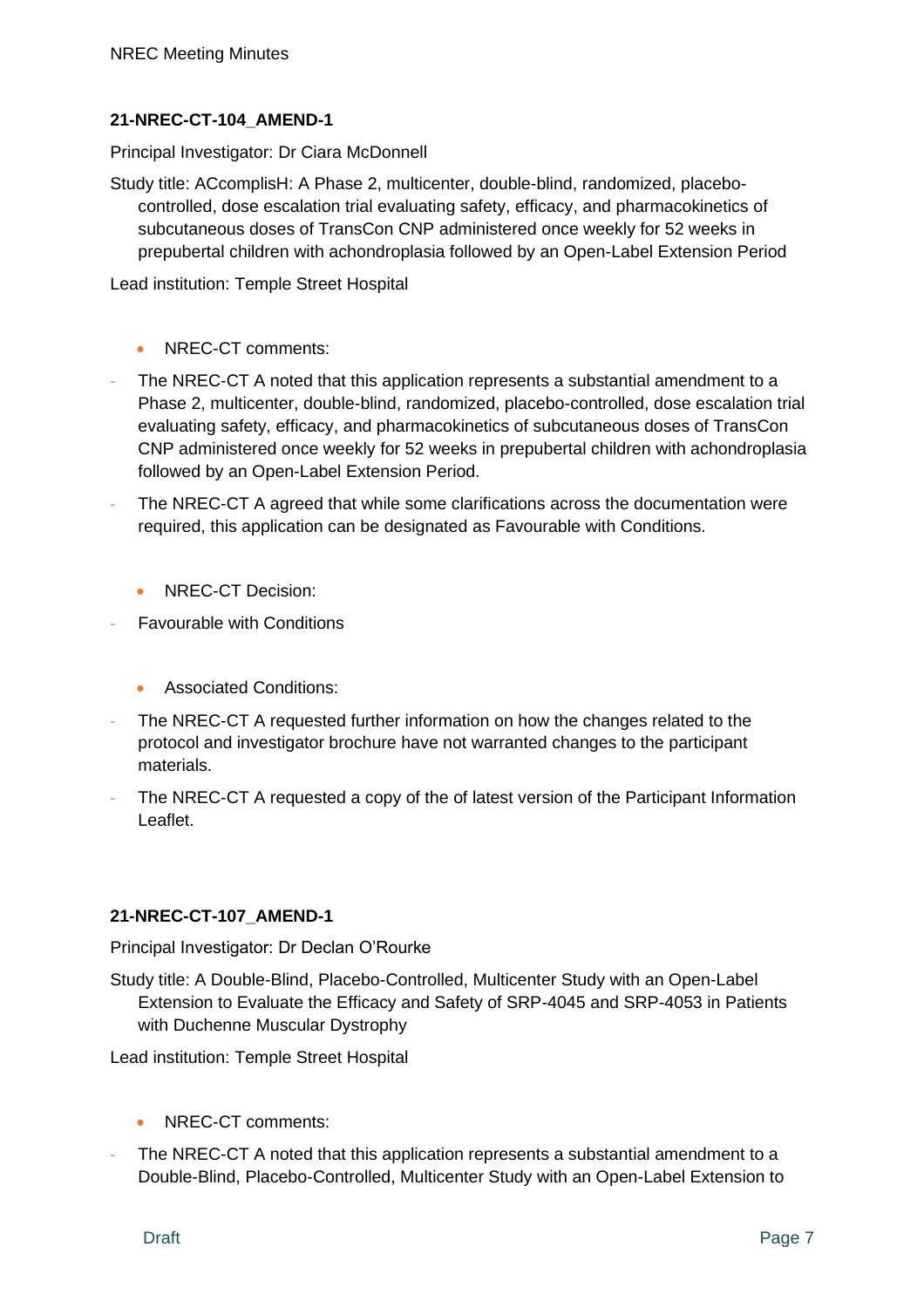# **21-NREC-CT-104\_AMEND-1**

Principal Investigator: Dr Ciara McDonnell

Study title: ACcomplisH: A Phase 2, multicenter, double-blind, randomized, placebocontrolled, dose escalation trial evaluating safety, efficacy, and pharmacokinetics of subcutaneous doses of TransCon CNP administered once weekly for 52 weeks in prepubertal children with achondroplasia followed by an Open-Label Extension Period

Lead institution: Temple Street Hospital

- NREC-CT comments:
- The NREC-CT A noted that this application represents a substantial amendment to a Phase 2, multicenter, double-blind, randomized, placebo-controlled, dose escalation trial evaluating safety, efficacy, and pharmacokinetics of subcutaneous doses of TransCon CNP administered once weekly for 52 weeks in prepubertal children with achondroplasia followed by an Open-Label Extension Period.
- The NREC-CT A agreed that while some clarifications across the documentation were required, this application can be designated as Favourable with Conditions.
	- NREC-CT Decision:
- Favourable with Conditions
	- Associated Conditions:
- The NREC-CT A requested further information on how the changes related to the protocol and investigator brochure have not warranted changes to the participant materials.
- The NREC-CT A requested a copy of the of latest version of the Participant Information Leaflet.

# **21-NREC-CT-107\_AMEND-1**

Principal Investigator: Dr Declan O'Rourke

Study title: A Double-Blind, Placebo-Controlled, Multicenter Study with an Open-Label Extension to Evaluate the Efficacy and Safety of SRP-4045 and SRP-4053 in Patients with Duchenne Muscular Dystrophy

Lead institution: Temple Street Hospital

- NREC-CT comments:
- The NREC-CT A noted that this application represents a substantial amendment to a Double-Blind, Placebo-Controlled, Multicenter Study with an Open-Label Extension to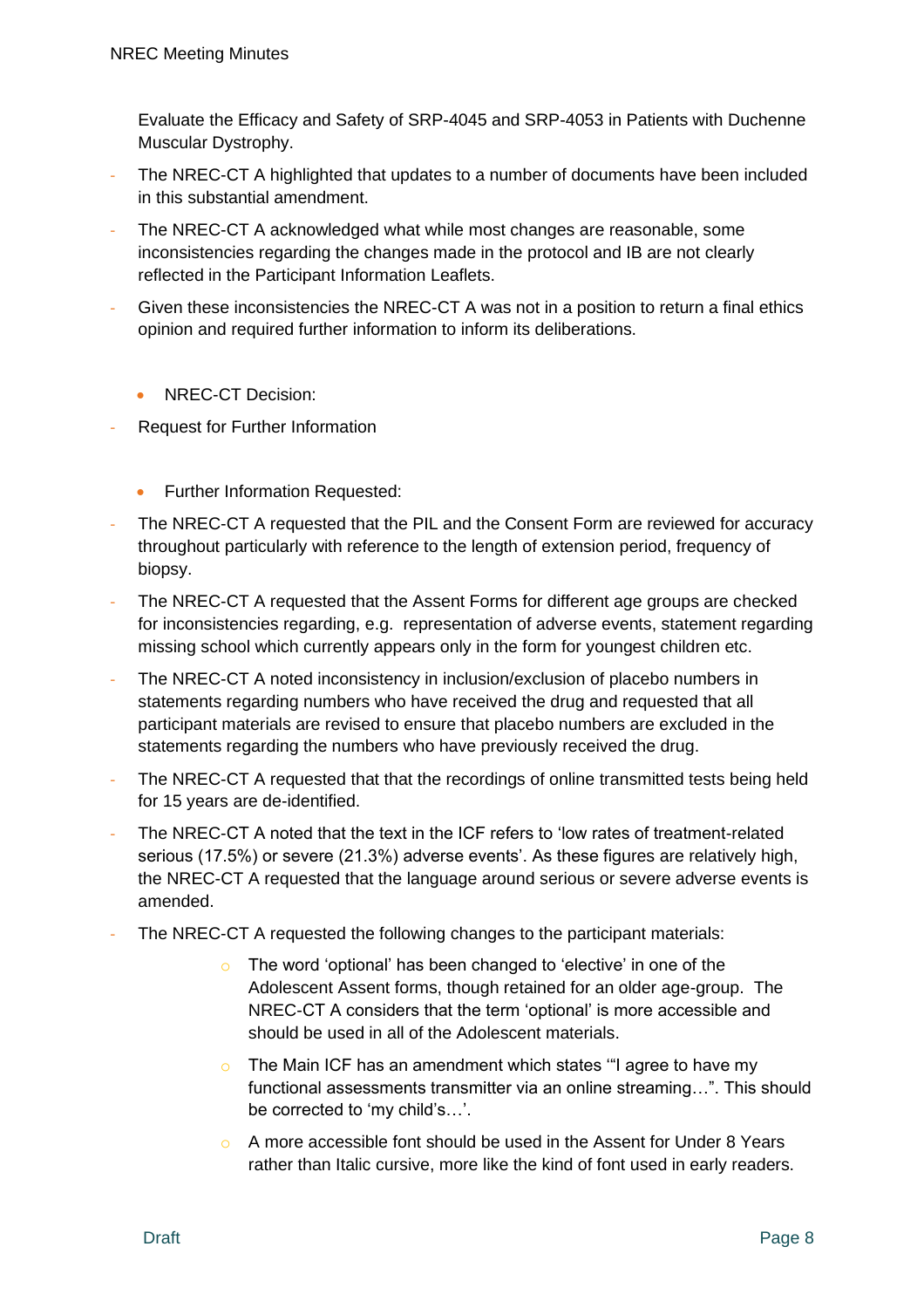Evaluate the Efficacy and Safety of SRP-4045 and SRP-4053 in Patients with Duchenne Muscular Dystrophy.

- The NREC-CT A highlighted that updates to a number of documents have been included in this substantial amendment.
- The NREC-CT A acknowledged what while most changes are reasonable, some inconsistencies regarding the changes made in the protocol and IB are not clearly reflected in the Participant Information Leaflets.
- Given these inconsistencies the NREC-CT A was not in a position to return a final ethics opinion and required further information to inform its deliberations.
	- NREC-CT Decision:
- Request for Further Information
	- Further Information Requested:
- The NREC-CT A requested that the PIL and the Consent Form are reviewed for accuracy throughout particularly with reference to the length of extension period, frequency of biopsy.
- The NREC-CT A requested that the Assent Forms for different age groups are checked for inconsistencies regarding, e.g. representation of adverse events, statement regarding missing school which currently appears only in the form for youngest children etc.
- The NREC-CT A noted inconsistency in inclusion/exclusion of placebo numbers in statements regarding numbers who have received the drug and requested that all participant materials are revised to ensure that placebo numbers are excluded in the statements regarding the numbers who have previously received the drug.
- The NREC-CT A requested that that the recordings of online transmitted tests being held for 15 years are de-identified.
- The NREC-CT A noted that the text in the ICF refers to 'low rates of treatment-related serious (17.5%) or severe (21.3%) adverse events'. As these figures are relatively high, the NREC-CT A requested that the language around serious or severe adverse events is amended.
- The NREC-CT A requested the following changes to the participant materials:
	- o The word 'optional' has been changed to 'elective' in one of the Adolescent Assent forms, though retained for an older age-group. The NREC-CT A considers that the term 'optional' is more accessible and should be used in all of the Adolescent materials.
	- o The Main ICF has an amendment which states "I agree to have my functional assessments transmitter via an online streaming…". This should be corrected to 'my child's…'.
	- o A more accessible font should be used in the Assent for Under 8 Years rather than Italic cursive, more like the kind of font used in early readers.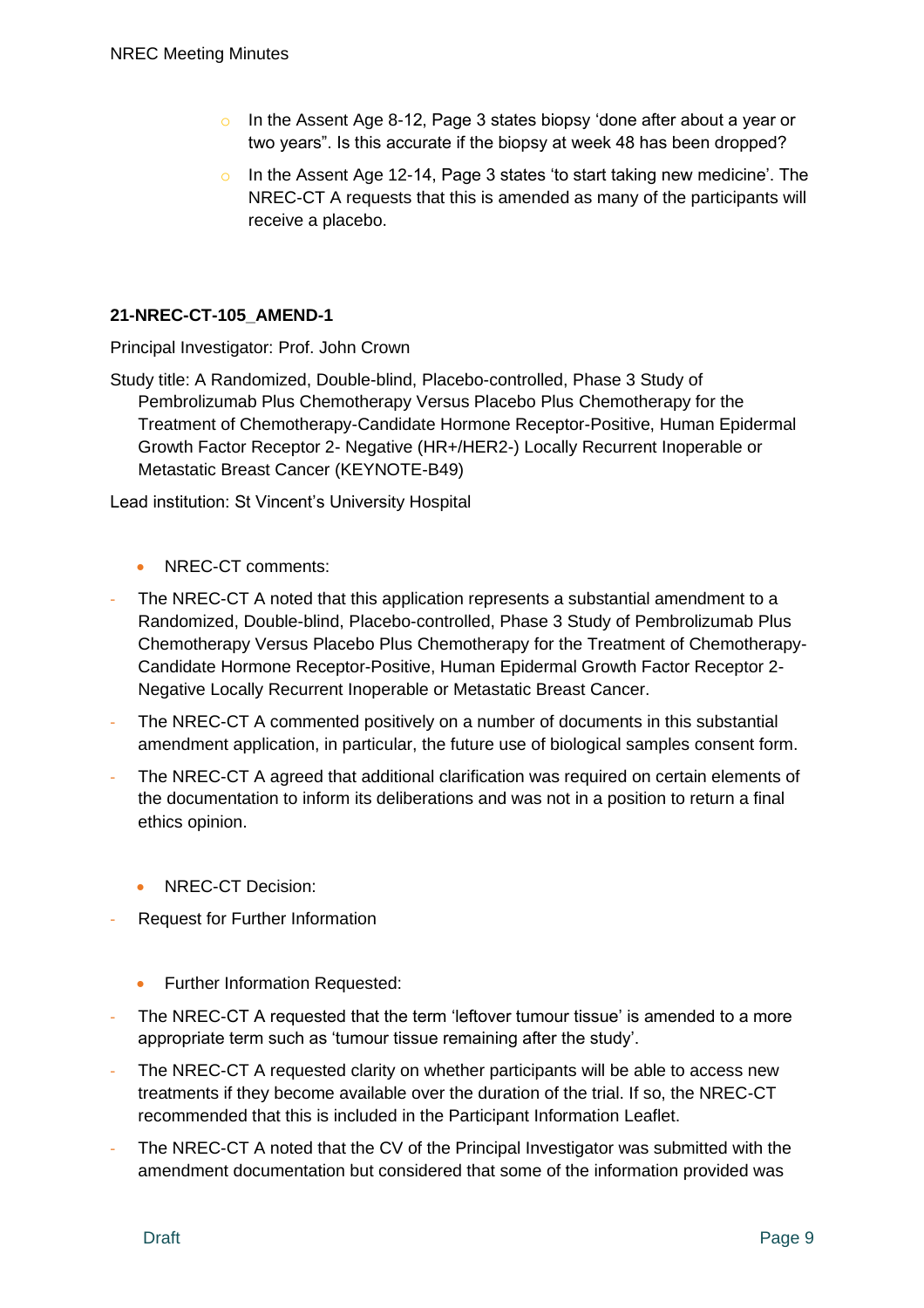- o In the Assent Age 8-12, Page 3 states biopsy 'done after about a year or two years". Is this accurate if the biopsy at week 48 has been dropped?
- o In the Assent Age 12-14, Page 3 states 'to start taking new medicine'. The NREC-CT A requests that this is amended as many of the participants will receive a placebo.

# **21-NREC-CT-105\_AMEND-1**

Principal Investigator: Prof. John Crown

Study title: A Randomized, Double-blind, Placebo-controlled, Phase 3 Study of Pembrolizumab Plus Chemotherapy Versus Placebo Plus Chemotherapy for the Treatment of Chemotherapy-Candidate Hormone Receptor-Positive, Human Epidermal Growth Factor Receptor 2- Negative (HR+/HER2-) Locally Recurrent Inoperable or Metastatic Breast Cancer (KEYNOTE-B49)

Lead institution: St Vincent's University Hospital

- NREC-CT comments:
- The NREC-CT A noted that this application represents a substantial amendment to a Randomized, Double-blind, Placebo-controlled, Phase 3 Study of Pembrolizumab Plus Chemotherapy Versus Placebo Plus Chemotherapy for the Treatment of Chemotherapy-Candidate Hormone Receptor-Positive, Human Epidermal Growth Factor Receptor 2- Negative Locally Recurrent Inoperable or Metastatic Breast Cancer.
- The NREC-CT A commented positively on a number of documents in this substantial amendment application, in particular, the future use of biological samples consent form.
- The NREC-CT A agreed that additional clarification was required on certain elements of the documentation to inform its deliberations and was not in a position to return a final ethics opinion.
	- NREC-CT Decision:
- Request for Further Information
	- Further Information Requested:
- The NREC-CT A requested that the term 'leftover tumour tissue' is amended to a more appropriate term such as 'tumour tissue remaining after the study'.
- The NREC-CT A requested clarity on whether participants will be able to access new treatments if they become available over the duration of the trial. If so, the NREC-CT recommended that this is included in the Participant Information Leaflet.
- The NREC-CT A noted that the CV of the Principal Investigator was submitted with the amendment documentation but considered that some of the information provided was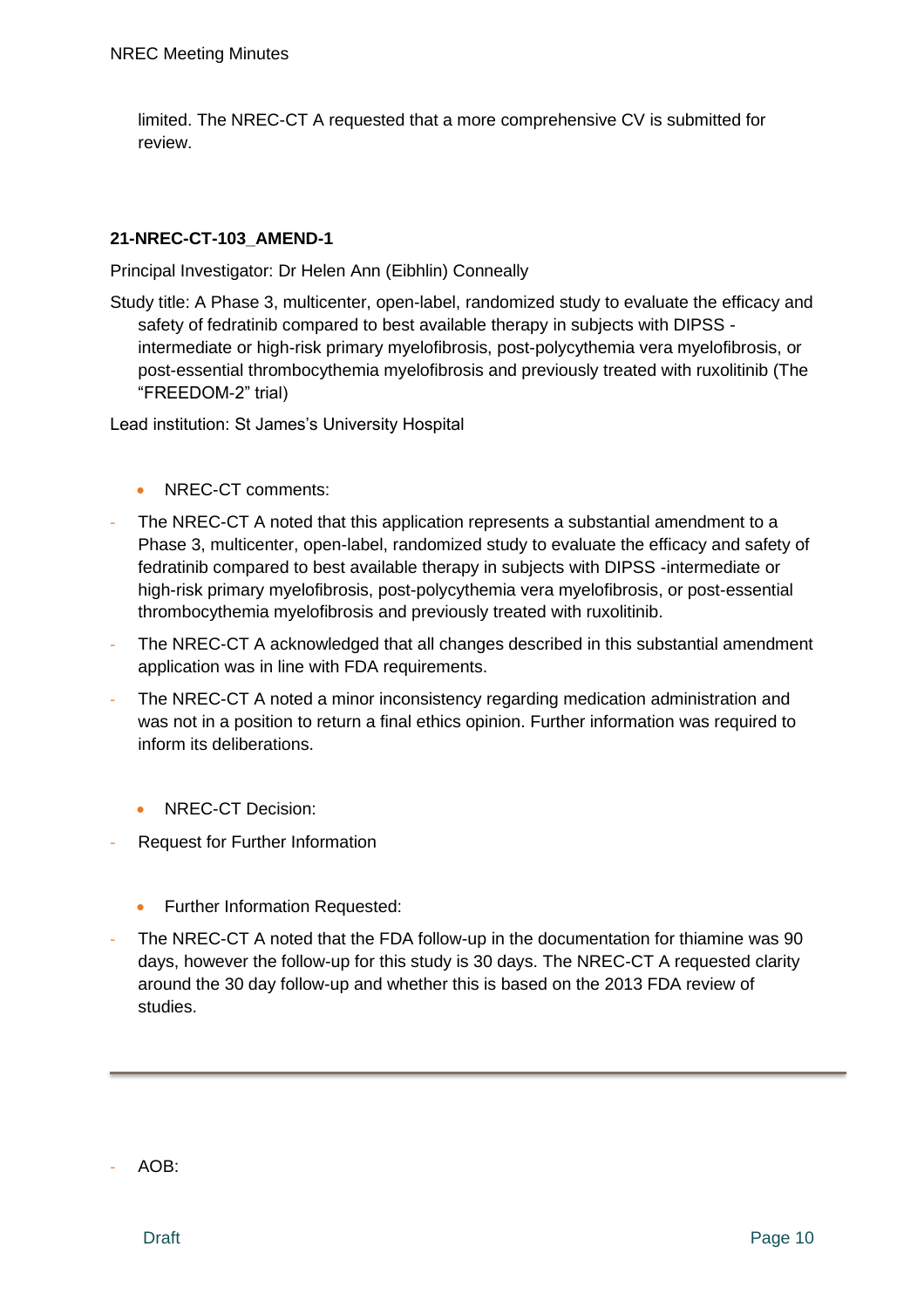limited. The NREC-CT A requested that a more comprehensive CV is submitted for review.

# **21-NREC-CT-103\_AMEND-1**

Principal Investigator: Dr Helen Ann (Eibhlin) Conneally

Study title: A Phase 3, multicenter, open-label, randomized study to evaluate the efficacy and safety of fedratinib compared to best available therapy in subjects with DIPSS intermediate or high-risk primary myelofibrosis, post-polycythemia vera myelofibrosis, or post-essential thrombocythemia myelofibrosis and previously treated with ruxolitinib (The "FREEDOM-2" trial)

Lead institution: St James's University Hospital

- NREC-CT comments:
- The NREC-CT A noted that this application represents a substantial amendment to a Phase 3, multicenter, open-label, randomized study to evaluate the efficacy and safety of fedratinib compared to best available therapy in subjects with DIPSS -intermediate or high-risk primary myelofibrosis, post-polycythemia vera myelofibrosis, or post-essential thrombocythemia myelofibrosis and previously treated with ruxolitinib.
- The NREC-CT A acknowledged that all changes described in this substantial amendment application was in line with FDA requirements.
- The NREC-CT A noted a minor inconsistency regarding medication administration and was not in a position to return a final ethics opinion. Further information was required to inform its deliberations.
	- NREC-CT Decision:
- Request for Further Information
	- Further Information Requested:
- The NREC-CT A noted that the FDA follow-up in the documentation for thiamine was 90 days, however the follow-up for this study is 30 days. The NREC-CT A requested clarity around the 30 day follow-up and whether this is based on the 2013 FDA review of studies.

AOB: